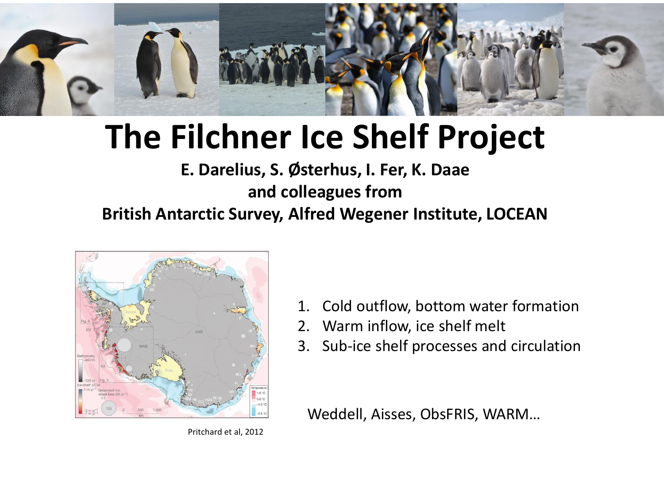

### **The Filchner Ice Shelf Project**

#### **E. Darelius, S. Østerhus, I. Fer, K. Daae and colleagues from British Antarctic Survey, Alfred Wegener Institute, LOCEAN**



<sup>2.</sup> Warm inflow, ice shelf melt

3. Sub-ice shelf processes and circulation

1. Cold outflow, bottom water formation

Weddell, Aisses, ObsFRIS, WARM…

Pritchard et al, 2012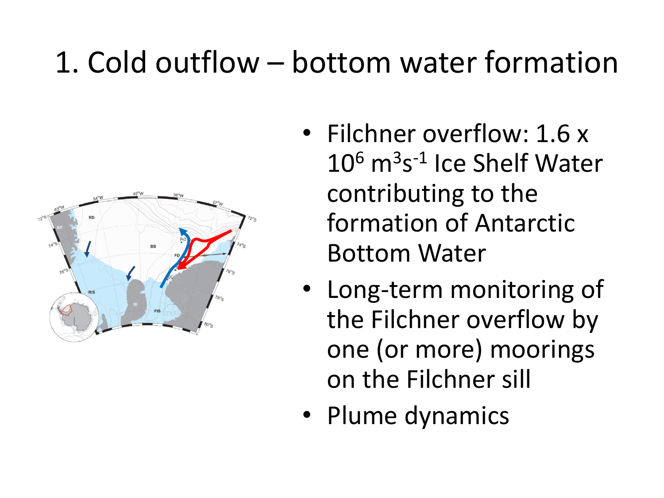#### 1. Cold outflow – bottom water formation



- Filchner overflow: 1.6 x 10<sup>6</sup> m<sup>3</sup>s<sup>-1</sup> Ice Shelf Water contributing to the formation of Antarctic Bottom Water
- Long-term monitoring of the Filchner overflow by one (or more) moorings on the Filchner sill
- Plume dynamics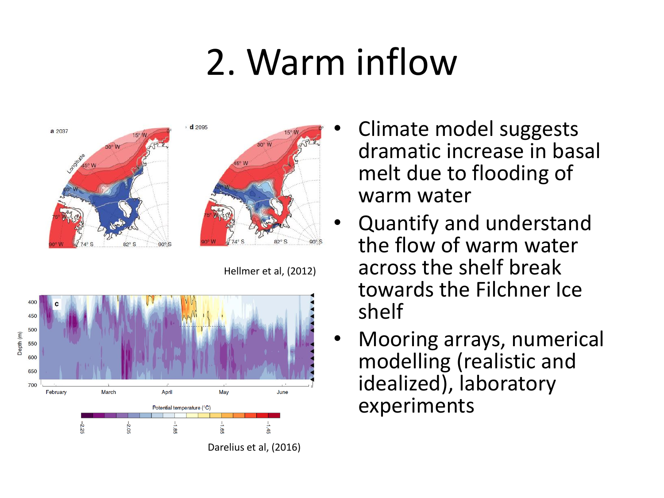# 2. Warm inflow





Hellmer et al, (2012)



- Climate model suggests dramatic increase in basal melt due to flooding of warm water
- Quantify and understand the flow of warm water across the shelf break towards the Filchner Ice shelf
- Mooring arrays, numerical modelling (realistic and idealized), laboratory experiments